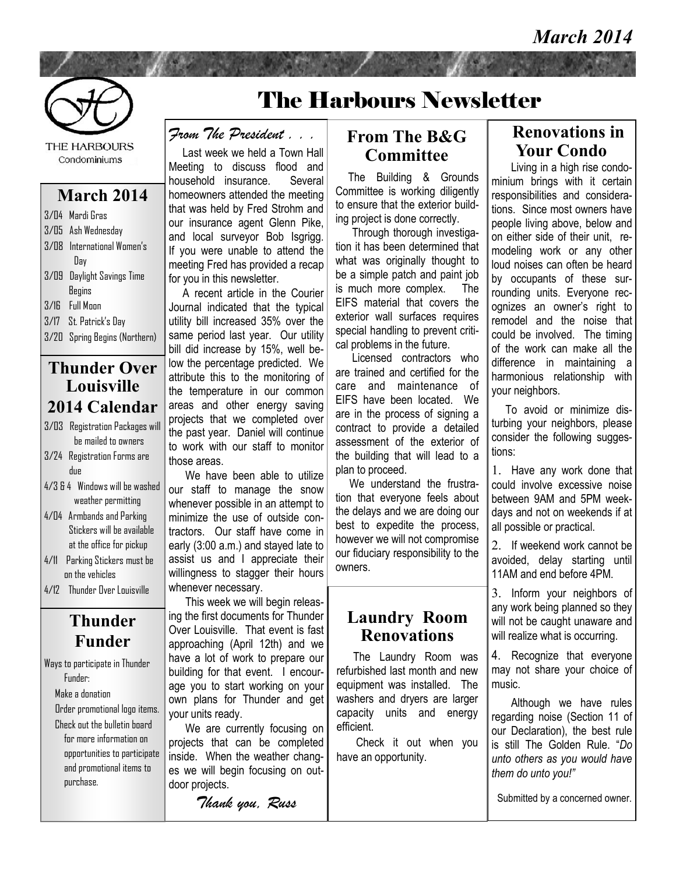

**THE HARBOURS** Condominiums

#### **March 2014**

| 3/04 Mardi Gras            |
|----------------------------|
| 3/05 Ash Wednesday         |
| 3/08 International Women's |
| Day                        |
| 3/09 Daylight Savings Time |
| <b>Begins</b>              |
| 3/16 Full Moon             |
| 3/17 St. Patrick's Day     |
|                            |

3/20 Spring Begins (Northern)

### **Thunder Over Louisville 2014 Calendar**

- 3/03 Registration Packages will be mailed to owners
- 3/24 Registration Forms are due
- 4/3 & 4 Windows will be washed weather permitting
- 4/04 Armbands and Parking Stickers will be available at the office for pickup
- 4/11 Parking Stickers must be on the vehicles 4/12 Thunder Over Louisville

### **Thunder Funder**

Ways to participate in Thunder Funder:

Make a donation

 Order promotional logo items. Check out the bulletin board for more information on opportunities to participate and promotional items to purchase.

# The Harbours Newsletter

*From The President . . .* 

 Last week we held a Town Hall Meeting to discuss flood and household insurance. Several homeowners attended the meeting that was held by Fred Strohm and our insurance agent Glenn Pike, and local surveyor Bob Isgrigg. If you were unable to attend the meeting Fred has provided a recap for you in this newsletter.

 A recent article in the Courier Journal indicated that the typical utility bill increased 35% over the same period last year. Our utility bill did increase by 15%, well below the percentage predicted. We attribute this to the monitoring of the temperature in our common areas and other energy saving projects that we completed over the past year. Daniel will continue to work with our staff to monitor those areas.

We have been able to utilize our staff to manage the snow whenever possible in an attempt to minimize the use of outside contractors. Our staff have come in early (3:00 a.m.) and stayed late to assist us and I appreciate their willingness to stagger their hours whenever necessary.

 This week we will begin releasing the first documents for Thunder Over Louisville. That event is fast approaching (April 12th) and we have a lot of work to prepare our building for that event. I encourage you to start working on your own plans for Thunder and get your units ready.

 We are currently focusing on projects that can be completed inside. When the weather changes we will begin focusing on outdoor projects.

*Thank you, Russ*

#### **From The B&G Committee**

 The Building & Grounds Committee is working diligently to ensure that the exterior building project is done correctly.

 Through thorough investigation it has been determined that what was originally thought to be a simple patch and paint job is much more complex. The EIFS material that covers the exterior wall surfaces requires special handling to prevent critical problems in the future.

 Licensed contractors who are trained and certified for the care and maintenance of EIFS have been located. We are in the process of signing a contract to provide a detailed assessment of the exterior of the building that will lead to a plan to proceed.

We understand the frustration that everyone feels about the delays and we are doing our best to expedite the process, however we will not compromise our fiduciary responsibility to the owners.

### **Laundry Room Renovations**

 The Laundry Room was refurbished last month and new equipment was installed. The washers and dryers are larger capacity units and energy efficient.

 Check it out when you have an opportunity.

#### **Renovations in Your Condo**

 Living in a high rise condominium brings with it certain responsibilities and considerations. Since most owners have people living above, below and on either side of their unit, remodeling work or any other loud noises can often be heard by occupants of these surrounding units. Everyone recognizes an owner's right to remodel and the noise that could be involved. The timing of the work can make all the difference in maintaining a harmonious relationship with your neighbors.

 To avoid or minimize disturbing your neighbors, please consider the following suggestions:

1. Have any work done that could involve excessive noise between 9AM and 5PM weekdays and not on weekends if at all possible or practical.

2. If weekend work cannot be avoided, delay starting until 11AM and end before 4PM.

3. Inform your neighbors of any work being planned so they will not be caught unaware and will realize what is occurring.

4. Recognize that everyone may not share your choice of music.

 Although we have rules regarding noise (Section 11 of our Declaration), the best rule is still The Golden Rule. "*Do unto others as you would have them do unto you!"*

Submitted by a concerned owner.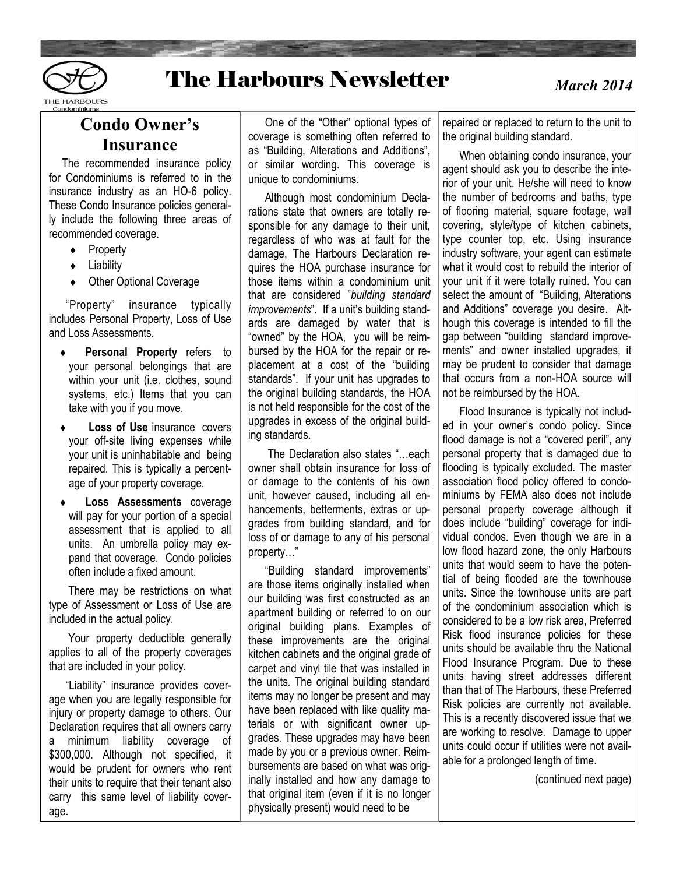

## The Harbours Newsletter

*March 2014*

### **Condo Owner's Insurance**

 The recommended insurance policy for Condominiums is referred to in the insurance industry as an HO-6 policy. These Condo Insurance policies generally include the following three areas of recommended coverage.

- ◆ Property
- Liability
- ◆ Other Optional Coverage

 "Property" insurance typically includes Personal Property, Loss of Use and Loss Assessments.

- **Personal Property** refers to your personal belongings that are within your unit (i.e. clothes, sound systems, etc.) Items that you can take with you if you move.
- **Loss of Use** insurance covers your off-site living expenses while your unit is uninhabitable and being repaired. This is typically a percentage of your property coverage.
- **Loss Assessments** coverage will pay for your portion of a special assessment that is applied to all units. An umbrella policy may expand that coverage. Condo policies often include a fixed amount.

 There may be restrictions on what type of Assessment or Loss of Use are included in the actual policy.

 Your property deductible generally applies to all of the property coverages that are included in your policy.

 "Liability" insurance provides coverage when you are legally responsible for injury or property damage to others. Our Declaration requires that all owners carry a minimum liability coverage of \$300,000. Although not specified, it would be prudent for owners who rent their units to require that their tenant also carry this same level of liability coverage.

 One of the "Other" optional types of coverage is something often referred to as "Building, Alterations and Additions", or similar wording. This coverage is unique to condominiums.

 Although most condominium Declarations state that owners are totally responsible for any damage to their unit, regardless of who was at fault for the damage, The Harbours Declaration requires the HOA purchase insurance for those items within a condominium unit that are considered "*building standard improvements*". If a unit's building standards are damaged by water that is "owned" by the HOA, you will be reimbursed by the HOA for the repair or replacement at a cost of the "building standards". If your unit has upgrades to the original building standards, the HOA is not held responsible for the cost of the upgrades in excess of the original building standards.

 The Declaration also states "…each owner shall obtain insurance for loss of or damage to the contents of his own unit, however caused, including all enhancements, betterments, extras or upgrades from building standard, and for loss of or damage to any of his personal property…"

 "Building standard improvements" are those items originally installed when our building was first constructed as an apartment building or referred to on our original building plans. Examples of these improvements are the original kitchen cabinets and the original grade of carpet and vinyl tile that was installed in the units. The original building standard items may no longer be present and may have been replaced with like quality materials or with significant owner upgrades. These upgrades may have been made by you or a previous owner. Reimbursements are based on what was originally installed and how any damage to that original item (even if it is no longer physically present) would need to be

repaired or replaced to return to the unit to the original building standard.

 When obtaining condo insurance, your agent should ask you to describe the interior of your unit. He/she will need to know the number of bedrooms and baths, type of flooring material, square footage, wall covering, style/type of kitchen cabinets, type counter top, etc. Using insurance industry software, your agent can estimate what it would cost to rebuild the interior of your unit if it were totally ruined. You can select the amount of "Building, Alterations and Additions" coverage you desire. Although this coverage is intended to fill the gap between "building standard improvements" and owner installed upgrades, it may be prudent to consider that damage that occurs from a non-HOA source will not be reimbursed by the HOA.

 Flood Insurance is typically not included in your owner's condo policy. Since flood damage is not a "covered peril", any personal property that is damaged due to flooding is typically excluded. The master association flood policy offered to condominiums by FEMA also does not include personal property coverage although it does include "building" coverage for individual condos. Even though we are in a low flood hazard zone, the only Harbours units that would seem to have the potential of being flooded are the townhouse units. Since the townhouse units are part of the condominium association which is considered to be a low risk area, Preferred Risk flood insurance policies for these units should be available thru the National Flood Insurance Program. Due to these units having street addresses different than that of The Harbours, these Preferred Risk policies are currently not available. This is a recently discovered issue that we are working to resolve. Damage to upper units could occur if utilities were not available for a prolonged length of time.

(continued next page)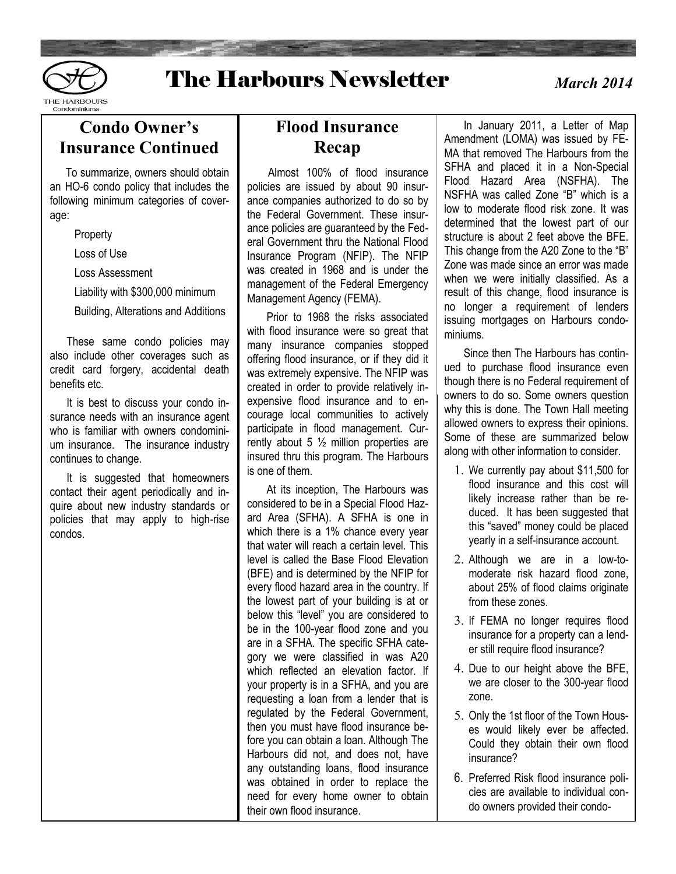

### The Harbours Newsletter

 *March 2014*

Condominiums

### **Condo Owner's Insurance Continued**

 To summarize, owners should obtain an HO-6 condo policy that includes the following minimum categories of coverage:

**Property** 

Loss of Use

Loss Assessment

Liability with \$300,000 minimum

Building, Alterations and Additions

 These same condo policies may also include other coverages such as credit card forgery, accidental death benefits etc.

 It is best to discuss your condo insurance needs with an insurance agent who is familiar with owners condominium insurance. The insurance industry continues to change.

 It is suggested that homeowners contact their agent periodically and inquire about new industry standards or policies that may apply to high-rise condos.

### **Flood Insurance Recap**

 Almost 100% of flood insurance policies are issued by about 90 insurance companies authorized to do so by the Federal Government. These insurance policies are guaranteed by the Federal Government thru the National Flood Insurance Program (NFIP). The NFIP was created in 1968 and is under the management of the Federal Emergency Management Agency (FEMA).

 Prior to 1968 the risks associated with flood insurance were so great that many insurance companies stopped offering flood insurance, or if they did it was extremely expensive. The NFIP was created in order to provide relatively inexpensive flood insurance and to encourage local communities to actively participate in flood management. Currently about 5  $\frac{1}{2}$  million properties are insured thru this program. The Harbours is one of them.

 At its inception, The Harbours was considered to be in a Special Flood Hazard Area (SFHA). A SFHA is one in which there is a 1% chance every year that water will reach a certain level. This level is called the Base Flood Elevation (BFE) and is determined by the NFIP for every flood hazard area in the country. If the lowest part of your building is at or below this "level" you are considered to be in the 100-year flood zone and you are in a SFHA. The specific SFHA category we were classified in was A20 which reflected an elevation factor. If your property is in a SFHA, and you are requesting a loan from a lender that is regulated by the Federal Government, then you must have flood insurance before you can obtain a loan. Although The Harbours did not, and does not, have any outstanding loans, flood insurance was obtained in order to replace the need for every home owner to obtain their own flood insurance.

 In January 2011, a Letter of Map Amendment (LOMA) was issued by FE-MA that removed The Harbours from the SFHA and placed it in a Non-Special Flood Hazard Area (NSFHA). The NSFHA was called Zone "B" which is a low to moderate flood risk zone. It was determined that the lowest part of our structure is about 2 feet above the BFE. This change from the A20 Zone to the "B" Zone was made since an error was made when we were initially classified. As a result of this change, flood insurance is no longer a requirement of lenders issuing mortgages on Harbours condominiums.

 Since then The Harbours has continued to purchase flood insurance even though there is no Federal requirement of owners to do so. Some owners question why this is done. The Town Hall meeting allowed owners to express their opinions. Some of these are summarized below along with other information to consider.

- 1. We currently pay about \$11,500 for flood insurance and this cost will likely increase rather than be reduced. It has been suggested that this "saved" money could be placed yearly in a self-insurance account.
- 2. Although we are in a low-tomoderate risk hazard flood zone, about 25% of flood claims originate from these zones.
- 3. If FEMA no longer requires flood insurance for a property can a lender still require flood insurance?
- 4. Due to our height above the BFE, we are closer to the 300-year flood zone.
- 5. Only the 1st floor of the Town Houses would likely ever be affected. Could they obtain their own flood insurance?
- 6. Preferred Risk flood insurance policies are available to individual condo owners provided their condo-